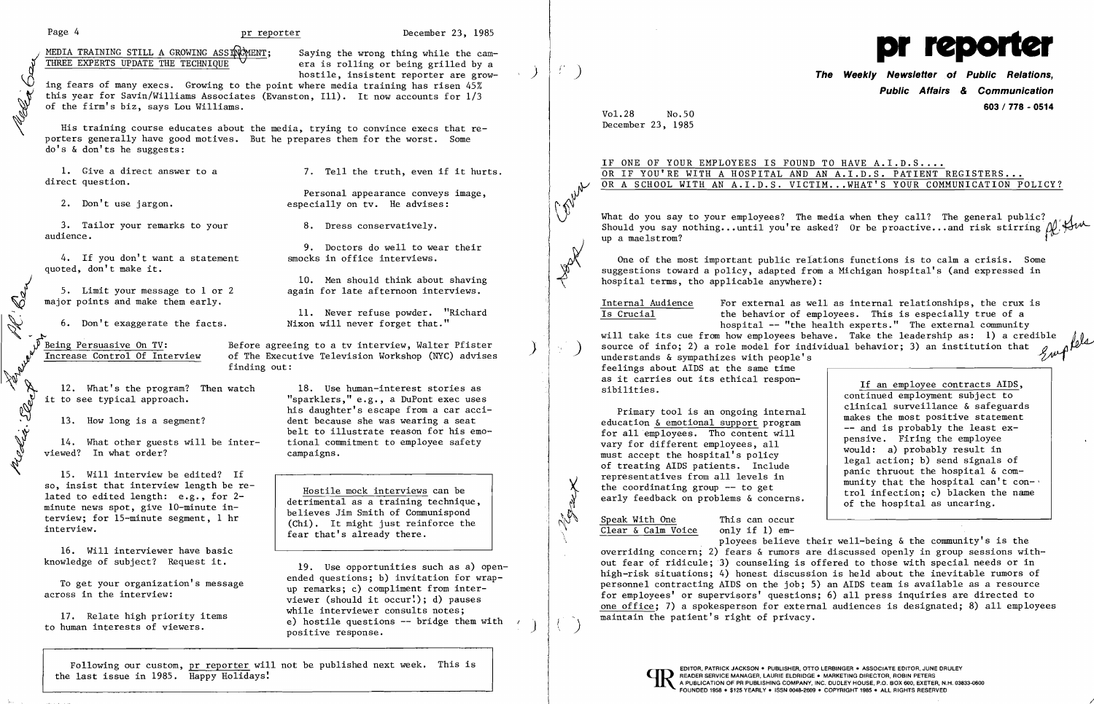Page 4 **pr reporter December 23, 1985** 

MEDIA TRAINING STILL A GROWING ASSING MENT; Saying the wrong thing while the cam-

THREE EXPERTS UPDATE THE TECHNIQUE era is rolling or being grilled by a<br>hostile, insistent reporter are grow-<br>this year for Savin/Williams Associates (Evanston, Ill). It now accounts for 1/3<br>of the firm's biz, says Lou Wil ghostile, insistent reporter are grow-<br>ing fears of many execs. Growing to the point where media training has risen 45% this year for Savin/Williams Associates (Evanston, Ill). It now accounts for  $1/3$ of the firm's biz, says Lou Williams.

His training course educates about the media, trying to convince execs that reporters generally have good motives. But he prepares them for the worst. Some do's & don'ts he suggests:

direct question.

Personal appearance conveys image, 2. Don't use jargon. The especially on tv. He advises:

9. Doctors do well to wear their<br>smocks in office interviews.

*J J J J J Limit your message to 1 or 2*<br> **10.** Men should think about shaving<br>
major points and make them early.<br>
11. Never refuse powder. "Richard" 5. Limit your message to 1 or 2 again for late afternoon interviews.

> Before agreeing to a tv interview, Walter Pfister<br>of The Executive Television Workshop (NYC) advises finding out:

"sparklers," e.g., a DuPont exec uses his daughter's escape from a car acci-13. How long is a segment? dent because she was wearing a seat belt to illustrate reason for his emo-<br>tional commitment to employee safety

so, insist that interview length be re-<br>
lated to edited length: e.g., for 2-<br>
minute news spot, give 10-minute in-<br>
terview; for 15-minute segment, 1 hr<br>
interview.<br>  $\begin{array}{ccc}\n\text{matrix for 15-minute segment, 1 hr} \\
\text{int} & \text{matrix of Communispond} \\
\text{int} & \text{matrix of Commun$ 

3. Tailor your remarks to your 8. Dress conservatively. audience.

4. If you don't want a statement quoted, don't make it. Ĩ

 19. Use opportunities such as a) open-To get your organization's message anded questions; b) invitation for wrap-<br>across in the interview:<br> $\frac{1}{2}$  across in the interview: viewer (should it occur!); d) pauses<br>while interviewer consults notes; 17. Relate high priority items while interviewer consults notes;<br>e) hostile questions -- bridge them with / to human interests of viewers.<br>by hostile questions -- bridge them with  $\left( \begin{array}{c} 1 \end{array} \right)$  positive response.

major points and make them early.

5. Limit your message to major points and make them ease.<br>
6. Don't exaggerate the factor of the metal of the same of the same of the same of the same of the same of the same of the same of the same of the same of the same

11. Never refuse powder. "Richard 6. Don't exaggerate the facts. Nixon will never forget that."

Following our custom, pr reporter will not be published next week. This is the last issue in  $1985$ . Happy Holidays!

Malix : Slap

12. What's the program? Then watch 18. Use human-interest stories as

14. What other guests will be interviewed? In what order? campaigns.

One of the most important public relations functions is to calm a crisis. Some suggestions toward a policy, adapted from a Michigan hospital's (and expressed in hospital terms, tho applicable anywhere):

Jack

Internal Audience For external as well as internal relationships, the crux is<br>Is Crucial the behavior of employees. This is especially true of a the behavior of employees. This is especially true of a hospital -- "the health experts." The external community will take its cue from how employees behave. Take the leadership as: 1) a credible ) source of info; 2) a role model for individual behavior; 3) an institution that  $\mathcal{L}_{\mathcal{A}}\mathcal{A}^{\{0\}}$ will take its cue from how employees behave. Take the leadership as: 1) a credible source of info; 2) a role model for individual behavior; 3) an institution that  $\mathcal{U}$ 

15. Will interview be edited? If so, insist that interview length be re feelings about AIDS at the same time as it carries out its ethical respon-<br>sibilities.

Primary tool is an ongoing internal<br>
education <u>& emotional support</u> program<br>
for all employees. Tho content will<br>
vary for different employees, all<br>
must accept the hospital's policy<br>
of treating AIDS patients. Include<br>
r

 $\frac{\text{Speak With One}}{\text{Clear & Calm Voice}}$  This can occur  $Clear$  &  $Calm$  Voice

16. Will interviewer have basic knowledge of subject? Request it.

1. Give a direct answer to a 3. Tell the truth, even if it hurts.

ployees believe their well-being & the community's is the overriding concern; 2) fears & rumors are discussed openly in group sessions without fear of ridicule; 3) counseling is offered to those with special needs or in high-risk situations; 4) honest discussion is held about the inevitable rumors of personnel contracting AIDS on the job; 5) an AIDS team is available as a resource for employees' or supervisors' questions; 6) all press inquiries are directed to one office; 7) a spokesperson for external audiences is designated; 8) all employees maintain the patient's right of privacy.



) **The Weekly Newsletter of Public Relations, Public Affairs** *&* **Communication 603 / 778 - 0514** 

If an employee contracts AIDS, continued employment subject to Presentatives from all levels in munity that the hospital & com-<br>the coordinating group -- to get trol infection; c) blacken the name<br>early feedback on problems & concerns.<br>of the hospital as uncaring.  $\overline{\phantom{a}}$ 

Vol.28 No.50 December 23, 1985

IF ONE OF YOUR EMPLOYEES IS FOUND TO HAVE A.I.D.S.... OR IF YOU'RE WITH A HOSPITAL AND AN A.I.D.S. PATIENT REGISTERS... OR IF TOU RE WITH A HOSPITAL AND AN A.I.D.S. PATTENT REGISTERS...<br>OR A SCHOOL WITH AN A.I.D.S. VICTIM...WHAT'S YOUR COMMUNICATION POLICY? W OR A SCHOOL WITH AN A.I.D.S. VICIIM...WHAT S YOUR COMMUNICATION POLICY?

What do you say to your employees? The media when they call? The general public? Should you say nothing... until you're asked? Or be proactive... and risk stirring  $\mathcal{N}$ .  $\mathcal{H}_{\mathcal{W}}$  up a maelstrom?

/